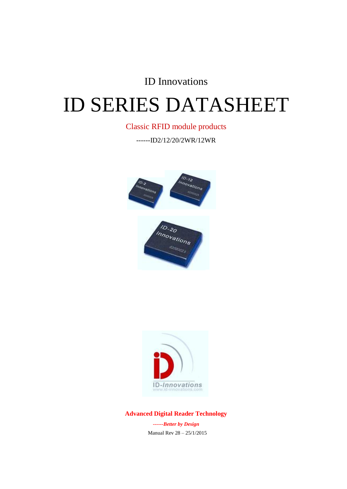# ID Innovations

# ID SERIES DATASHEET

#### Classic RFID module products

------ID2/12/20/2WR/12WR







## **Advanced Digital Reader Technology**

*------Better by Design* Manual Rev 28 – 25/1/2015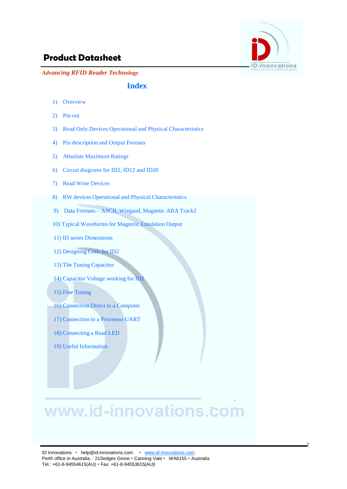

*Advancing RFID Reader Technology*

#### **Index**

- 1) Overview
- 2) Pin out
- 3) Read Only Devices Operational and Physical Characteristics
- 4) Pin description and Output Formats
- 5) Absolute Maximum Ratings
- 6) Circuit diagrams for ID2, ID12 and ID20
- 7) Read Write Devices
- 8) RW devices Operational and Physical Characteristics
- 9) Data Formats ASCII, Wiegand, Magnetic ABA Track2
- 10) Typical Waveforms for Magnetic Emulation Output
- 11) ID series Dimensions
- 12) Designing Coils for ID2
- 13) The Tuning Capacitor
- 14) Capacitor Voltage working for ID2
- 15) Fine Tuning
- 16) Connection Direct to a Computer
- 17) Connection to a Processor UART
- 18) Connecting a Read LED
- 19) Useful Information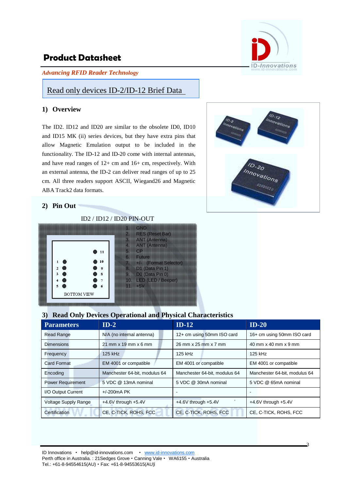*Advancing RFID Reader Technology*



#### Read only devices ID-2/ID-12 Brief Data

#### **1) Overview**

The ID2. ID12 and ID20 are similar to the obsolete ID0, ID10 and ID15 MK (ii) series devices, but they have extra pins that allow Magnetic Emulation output to be included in the functionality. The ID-12 and ID-20 come with internal antennas, and have read ranges of 12+ cm and 16+ cm, respectively. With an external antenna, the ID-2 can deliver read ranges of up to 25 cm. All three readers support ASCII, Wiegand26 and Magnetic ABA Track2 data formats.



#### **2) Pin Out**

#### ID2 / ID12 / ID20 PIN-OUT

|                    |                        | 2.<br>3.                     | <b>GND</b><br><b>RES (Reset Bar)</b><br>ANT (Antenna)                                             |
|--------------------|------------------------|------------------------------|---------------------------------------------------------------------------------------------------|
|                    | 11                     | 4.<br>5.<br>6.               | <b>ANT</b> (Antenna)<br>CP<br><b>Future</b>                                                       |
| 3                  | 10<br>9<br>8<br>7<br>6 | 7 <sup>1</sup><br>9.<br>11.7 | +/- (Format Selector)<br>8. D1 (Data Pin 1)<br>D0 (Data Pin 0)<br>10. LED (LED / Beeper)<br>$+5V$ |
| <b>BOTTOM VIEW</b> |                        |                              |                                                                                                   |

#### **3) Read Only Devices Operational and Physical Characteristics**

| <b>Parameters</b>           | $ID-2$                        | $ID-12$                       | $ID-20$                       |
|-----------------------------|-------------------------------|-------------------------------|-------------------------------|
| <b>Read Range</b>           | N/A (no internal antenna)     | 12+ cm using 50mm ISO card    | 16+ cm using 50mm ISO card    |
| <b>Dimensions</b>           | $21$ mm x 19 mm x 6 mm        | 26 mm x 25 mm x 7 mm          | 40 mm x 40 mm x 9 mm          |
| Frequency                   | 125 kHz                       | 125 kHz                       | 125 kHz                       |
| <b>Card Format</b>          | EM 4001 or compatible         | EM 4001 or compatible         | EM 4001 or compatible         |
| Encoding                    | Manchester 64-bit, modulus 64 | Manchester 64-bit, modulus 64 | Manchester 64-bit, modulus 64 |
| <b>Power Requirement</b>    | 5 VDC @ 13mA nominal          | 5 VDC @ 30mA nominal          | 5 VDC @ 65mA nominal          |
| I/O Output Current          | $+/-200mA$ PK                 | $\overline{\phantom{0}}$      |                               |
| <b>Voltage Supply Range</b> | $+4.6V$ through $+5.4V$       | $+4.6V$ through $+5.4V$       | $+4.6V$ through $+5.4V$       |
| Certification               | CE, C-TICK, ROHS, FCC         | CE, C-TICK, ROHS, FCC         | CE, C-TICK, ROHS, FCC         |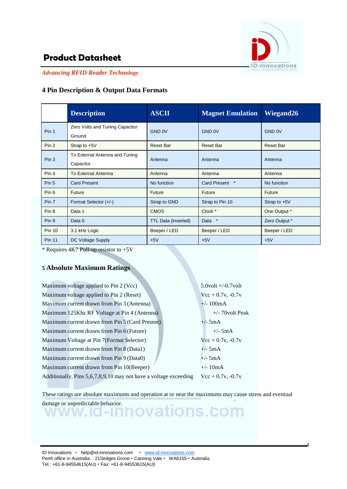

4

# **Product Datasheet**

*Advancing RFID Reader Technology*

#### **4 Pin Description & Output Data Formats**

|                  | <b>Description</b>                          | <b>ASCII</b>               | <b>Magnet Emulation</b> | Wiegand26        |  |
|------------------|---------------------------------------------|----------------------------|-------------------------|------------------|--|
| Pin 1            | Zero Volts and Tuning Capacitor<br>Ground   | <b>GND 0V</b>              | GND <sub>0</sub> V      | <b>GND 0V</b>    |  |
| Pin <sub>2</sub> | Strap to $+5V$                              | <b>Reset Bar</b>           | <b>Reset Bar</b>        | <b>Reset Bar</b> |  |
| Pin 3            | To External Antenna and Tuning<br>Capacitor | Antenna                    | Antenna                 | Antenna          |  |
| Pin 4            | To External Antenna                         | Antenna                    | Antenna                 | Antenna          |  |
| Pin 5            | <b>Card Present</b>                         | No function                | Card Present *          | No function      |  |
| Pin 6            | Future                                      | Future                     | <b>Future</b>           | Future           |  |
| Pin 7            | Format Selector (+/-)                       | Strap to GND               | Strap to Pin 10         | Strap to $+5V$   |  |
| Pin <sub>8</sub> | Data 1                                      | <b>CMOS</b>                | Clock *                 | One Output *     |  |
| Pin 9            | Data 0                                      | <b>TTL Data (inverted)</b> | $\ast$<br>Data          | Zero Output *    |  |
| <b>Pin 10</b>    | 3.1 kHz Logic                               | Beeper / LED               | Beeper / LED            | Beeper / LED     |  |
| <b>Pin 11</b>    | DC Voltage Supply                           | $+5V$                      | $+5V$                   | $+5V$            |  |

 $*$  Requires 4K7 Pull-up resistor to +5V

#### **5 Absolute Maximum Ratings**

Maximum voltage applied to Pin 2 (Vcc) 5.0volt +/-0.7volt Maximum voltage applied to Pin 2 (Reset)  $Vcc + 0.7v$ ,  $-0.7v$ Maximum current drawn from Pin 3 (Antenna)  $+/- 100mA$ Maximum 125Khz RF Voltage at Pin 4 (Antenna) +/- 70volt Peak Maximum current drawn from Pin 5 (Card Present)  $+/-5mA$ Maximum current drawn from Pin  $6$  (Future)  $+/-5$ mA Maximum Voltage at Pin 7(Format Selector)  $Vcc + 0.7v$ , -0.7v Maximum current drawn from Pin 8 (Data1)  $+/-5mA$ Maximum current drawn from Pin 9 (Data0)  $+/-5mA$ Maximum current drawn from Pin  $10(Beeper)$   $+/- 10mA$ Additionally, Pins 5,6,7,8,9,10 may not have a voltage exceeding Vcc + 0.7v, -0.7v

These ratings are absolute maximums and operation at or near the maximums may cause stress and eventual damage or unpredictable behavior.<br>WWW.ICI-INNOVationS.COM

ID Innovations · help@id-innovations.com · www.id-innovations.com Perth office in Australia. : 21Sedges Grove · Canning Vale · WA6155 · Australia Tel.: +61-8-94554615(AU) • Fax: +61-8-94553615(AU)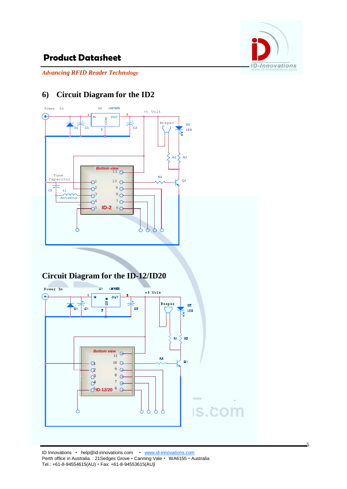

5

**IS.COM** 

# **Product Datasheet**

*Advancing RFID Reader Technology*

# **6) Circuit Diagram for the ID2**



δ Ò

 $\beta$  8

5 5 **ID-12/20** <sup>6</sup>

 $7<sub>0</sub>$ 

 $\sigma$ <sup>4</sup>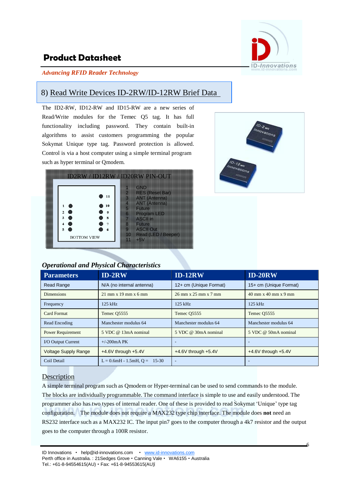

#### *Advancing RFID Reader Technology*

#### 8) Read Write Devices ID-2RW/ID-12RW Brief Data

The ID2-RW, ID12-RW and ID15-RW are a new series of Read/Write modules for the Temec Q5 tag. It has full functionality including password. They contain built-in algorithms to assist customers programming the popular Sokymat Unique type tag. Password protection is allowed. Control is via a host computer using a simple terminal program such as hyper terminal or Qmodem.





#### *Operational and Physical Characteristics*

| <b>Parameters</b>           | $ID-2RW$                          | $ID-12RW$               | <b>ID-20RW</b>                                           |
|-----------------------------|-----------------------------------|-------------------------|----------------------------------------------------------|
| <b>Read Range</b>           | N/A (no internal antenna)         | 12+ cm (Unique Format)  | 15+ cm (Unique Format)                                   |
| <b>Dimensions</b>           | $21 \text{ mm}$ x 19 mm x 6 mm    | 26 mm x 25 mm x 7 mm    | $40 \text{ mm} \times 40 \text{ mm} \times 9 \text{ mm}$ |
| Frequency                   | 125 kHz                           | $125$ kHz               | $125$ kHz                                                |
| Card Format                 | Temec 05555                       | Temec 05555             | Temec O <sub>5555</sub>                                  |
| Read Encoding               | Manchester modulus 64             | Manchester modulus 64   | Manchester modulus 64                                    |
| <b>Power Requirement</b>    | $5 \text{ VDC}$ @ 13mA nominal    | 5 VDC @ 30mA nominal    | 5 VDC @ 50mA nominal                                     |
| <b>I/O Output Current</b>   | $+/-200mA$ PK                     | ٠                       |                                                          |
| <b>Voltage Supply Range</b> | $+4.6V$ through $+5.4V$           | $+4.6V$ through $+5.4V$ | $+4.6V$ through $+5.4V$                                  |
| Coil Detail                 | $L = 0.6mH - 1.5mH$ , $Q = 15-30$ | ٠                       |                                                          |

#### **Description**

A simple terminal program such as Qmodem or Hyper-terminal can be used to send commands to the module. The blocks are individually programmable. The command interface is simple to use and easily understood. The programmer also has two types of internal reader. One of these is provided to read Sokymat "Unique" type tag configuration. The module does not require a MAX232 type chip interface. The module does **not** need an RS232 interface such as a MAX232 IC. The input pin7 goes to the computer through a 4k7 resistor and the output goes to the computer through a 100R resistor.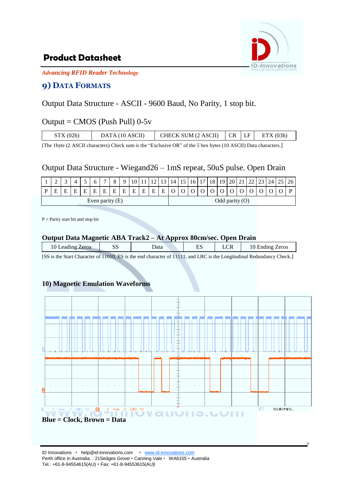

7

*Advancing RFID Reader Technology*

#### **9) DATA FORMATS**

## Output Data Structure - ASCII - 9600 Baud, No Parity, 1 stop bit.

#### Output =  $CMOS$  (Push Pull) 0-5 $v$

| STX(02h) | DATA (10 ASCII) | CHECK SUM (2 ASCII) | CR LF | ETX(03h) |
|----------|-----------------|---------------------|-------|----------|
|          |                 |                     |       |          |

[The 1byte (2 ASCII characters) Check sum is the "Exclusive OR" of the 5 hex bytes (10 ASCII) Data characters.]

#### Output Data Structure - Wiegand26 – 1mS repeat, 50uS pulse. Open Drain

|   | ∸                 |  |   |   |   | $\overline{ }$ |   |   |        |   |   |                |  | 17               | 18 | 19 | 20 | $\angle 1$ | 23 | 24 I | 26 |
|---|-------------------|--|---|---|---|----------------|---|---|--------|---|---|----------------|--|------------------|----|----|----|------------|----|------|----|
| D |                   |  | Е | Е | E | F              | E | Е | Ē<br>- | Е | F | $\blacksquare$ |  |                  |    |    |    |            |    |      |    |
|   | Even parity $(E)$ |  |   |   |   |                |   |   |        |   |   |                |  | Odd parity $(0)$ |    |    |    |            |    |      |    |

P = Parity start bit and stop bit

#### **Output Data Magnetic ABA Track2 – At Approx 80cm/sec. Open Drain**

| 10 Leading Zeros | ЭC<br>ມມ | ⊅ata | гc<br>н<br>ື | LUN | Ending Zeros<br>10. |
|------------------|----------|------|--------------|-----|---------------------|
|                  |          |      |              |     |                     |

[SS is the Start Character of 11010, ES is the end character of 11111, and LRC is the Longitudinal Redundancy Check.]

#### **10) Magnetic Emulation Waveforms**

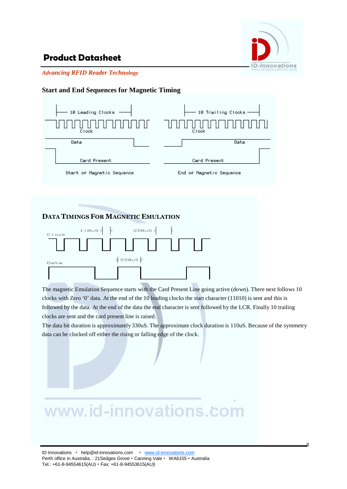

*Advancing RFID Reader Technology*

#### **Start and End Sequences for Magnetic Timing**



#### **DATA TIMINGSFOR MAGNETIC EMULATION**



The magnetic Emulation Sequence starts with the Card Present Line going active (down). There next follows 10 clocks with Zero "0" data. At the end of the 10 leading clocks the start character (11010) is sent and this is followed by the data. At the end of the data the end character is sent followed by the LCR. Finally 10 trailing clocks are sent and the card present line is raised.

The data bit duration is approximately 330uS. The approximate clock duration is 110uS. Because of the symmetry data can be clocked off either the rising or falling edge of the clock.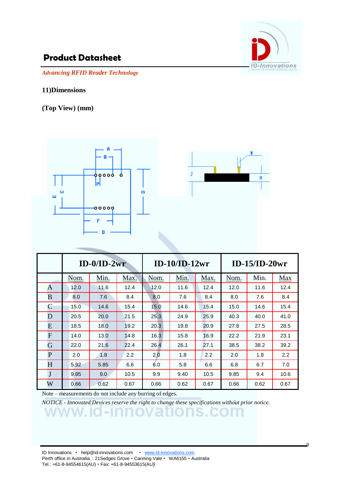

 $\overline{Q}$ 

*Advancing RFID Reader Technology*

#### **11)Dimensions**

**(Top View) (mm)**





|                |      | $ID-0/ID-2wr$ |      |      | $ID-10/ID-12wr$ |      | $ID-15/ID-20wr$ |      |               |  |  |
|----------------|------|---------------|------|------|-----------------|------|-----------------|------|---------------|--|--|
|                | Nom. | Min.          | Max. | Nom. | Min.            | Max. | Nom.            | Min. | Max           |  |  |
| A              | 12.0 | 11.6          | 12.4 | 12.0 | 11.6            | 12.4 | 12.0            | 11.6 | 12.4          |  |  |
| B              | 8.0  | 7.6           | 8.4  | 8.0  | 7.6             | 8.4  | 8.0             | 7.6  | 8.4           |  |  |
| $\overline{C}$ | 15.0 | 14.6          | 15.4 | 15.0 | 14.6            | 15.4 | 15.0            | 14.6 | 15.4          |  |  |
| D              | 20.5 | 20.0          | 21.5 | 25.3 | 24.9            | 25.9 | 40.3            | 40.0 | 41.0          |  |  |
| E              | 18.5 | 18.0          | 19.2 | 20.3 | 19.8            | 20.9 | 27.8            | 27.5 | 28.5          |  |  |
| F              | 14.0 | 13.0          | 14.8 | 16.3 | 15.8            | 16.9 | 22.2            | 21.9 | 23.1          |  |  |
| G              | 22.0 | 21.6          | 22.4 | 26.4 | 26.1            | 27.1 | 38.5            | 38.2 | 39.2          |  |  |
| P              | 2.0  | 1.8           | 2.2  | 2.0  | 1.8             | 2.2  | 2.0             | 1.8  | $2.2^{\circ}$ |  |  |
| H              | 5.92 | 5.85          | 6.6  | 6.0  | 5.8             | 6.6  | 6.8             | 6.7  | 7.0           |  |  |
| J              | 9.85 | 9.0           | 10.5 | 9.9  | 9.40            | 10.5 | 9.85            | 9.4  | 10.6          |  |  |
| W              | 0.66 | 0.62          | 0.67 | 0.66 | 0.62            | 0.67 | 0.66            | 0.62 | 0.67          |  |  |

Note – measurements do not include any burring of edges.

*NOTICE - Innovated Devices reserve the right to change these specifications without prior notice.*

ID Innovations · help@id-innovations.com · www.id-innovations.com Perth office in Australia. : 21Sedges Grove · Canning Vale · WA6155 · Australia

Tel.: +61-8-94554615(AU) • Fax: +61-8-94553615(AU)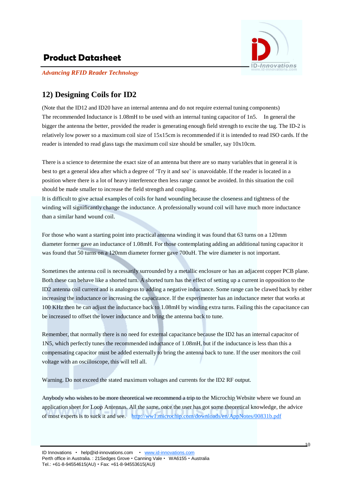

*Advancing RFID Reader Technology*

## **12) Designing Coils for ID2**

(Note that the ID12 and ID20 have an internal antenna and do not require external tuning components) The recommended Inductance is 1.08mH to be used with an internal tuning capacitor of 1n5. In general the bigger the antenna the better, provided the reader is generating enough field strength to excite the tag. The ID-2 is relatively low power so a maximum coil size of 15x15cm is recommended if it is intended to read ISO cards. If the reader is intended to read glass tags the maximum coil size should be smaller, say 10x10cm.

There is a science to determine the exact size of an antenna but there are so many variables that in general it is best to get a general idea after which a degree of "Try it and see" is unavoidable. If the reader is located in a position where there is a lot of heavy interference then less range cannot be avoided. In this situation the coil should be made smaller to increase the field strength and coupling.

It is difficult to give actual examples of coils for hand wounding because the closeness and tightness of the winding will significantly change the inductance. A professionally wound coil will have much more inductance than a similar hand wound coil.

For those who want a starting point into practical antenna winding it was found that 63 turns on a 120mm diameter former gave an inductance of 1.08mH. For those contemplating adding an additional tuning capacitor it was found that 50 turns on a 120mm diameter former gave 700uH. The wire diameter is not important.

Sometimes the antenna coil is necessarily surrounded by a metallic enclosure or has an adjacent copper PCB plane. Both these can behave like a shorted turn. A shorted turn has the effect of setting up a current in opposition to the ID2 antenna coil current and is analogous to adding a negative inductance. Some range can be clawed back by either increasing the inductance or increasing the capacitance. If the experimenter has an inductance meter that works at 100 KHz then he can adjust the inductance back to 1.08mH by winding extra turns. Failing this the capacitance can be increased to offset the lower inductance and bring the antenna back to tune.

Remember, that normally there is no need for external capacitance because the ID2 has an internal capacitor of 1N5, which perfectly tunes the recommended inductance of 1.08mH, but if the inductance is less than this a compensating capacitor must be added externally to bring the antenna back to tune. If the user monitors the coil voltage with an oscilloscope, this will tell all.

Warning. Do not exceed the stated maximum voltages and currents for the ID2 RF output.

Anybody who wishes to be more theoretical we recommend a trip to the Microchip Website where we found an application sheet for Loop Antennas. All the same, once the user has got some theoretical knowledge, the advice of most experts is to suck it and see. <http://ww1.microchip.com/downloads/en/AppNotes/00831b.pdf>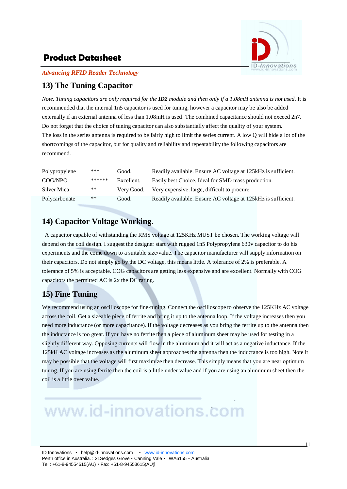

*Advancing RFID Reader Technology*

## **13) The Tuning Capacitor**

Note. Tuning capacitors are only required for the  $ID2$  module and then only if a 1.08mH antenna is not used. It is recommended that the internal 1n5 capacitor is used for tuning, however a capacitor may be also be added externally if an external antenna of less than 1.08mH is used. The combined capacitance should not exceed 2n7. Do not forget that the choice of tuning capacitor can also substantially affect the quality of your system. The loss in the series antenna is required to be fairly high to limit the series current. A low Q will hide a lot of the shortcomings of the capacitor, but for quality and reliability and repeatability the following capacitors are recommend.

| Polypropylene | ***    | Good.      | Readily available. Ensure AC voltage at 125 kHz is sufficient. |
|---------------|--------|------------|----------------------------------------------------------------|
| COG/NPO       | ****** | Excellent. | Easily best Choice. Ideal for SMD mass production.             |
| Silver Mica   | **     | Very Good. | Very expensive, large, difficult to procure.                   |
| Polycarbonate | **     | Good.      | Readily available. Ensure AC voltage at 125kHz is sufficient.  |

## **14) Capacitor Voltage Working**.

A capacitor capable of withstanding the RMS voltage at 125KHz MUST be chosen. The working voltage will depend on the coil design. I suggest the designer start with rugged 1n5 Polypropylene 630v capacitor to do his experiments and the come down to a suitable size/value. The capacitor manufacturer will supply information on their capacitors. Do not simply go by the DC voltage, this means little. A tolerance of 2% is preferable. A tolerance of 5% is acceptable. COG capacitors are getting less expensive and are excellent. Normally with COG capacitors the permitted AC is 2x the DC rating.

## **15) Fine Tuning**

We recommend using an oscilloscope for fine-tuning. Connect the oscilloscope to observe the 125KHz AC voltage across the coil. Get a sizeable piece of ferrite and bring it up to the antenna loop. If the voltage increases then you need more inductance (or more capacitance). If the voltage decreases as you bring the ferrite up to the antenna then the inductance is too great. If you have no ferrite then a piece of aluminum sheet may be used for testing in a slightly different way. Opposing currents will flow in the aluminum and it will act as a negative inductance. If the 125kH AC voltage increases as the aluminum sheet approaches the antenna then the inductance is too high. Note it may be possible that the voltage will first maximize then decrease. This simply means that you are near optimum tuning. If you are using ferrite then the coil is a little under value and if you are using an aluminum sheet then the coil is a little over value.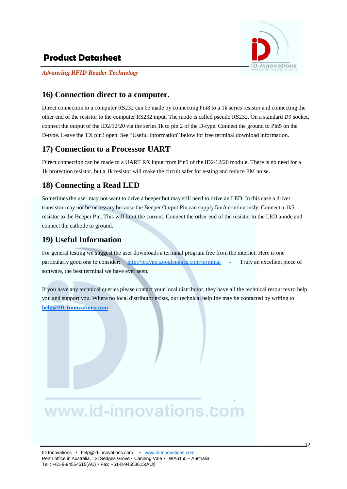

*Advancing RFID Reader Technology*

#### **16) Connection direct to a computer.**

Direct connection to a computer RS232 can be made by connecting Pin8 to a 1k series resistor and connecting the other end of the resistor to the computer RS232 input. The mode is called pseudo RS232. On a standard D9 socket, connect the output of the ID2/12/20 via the series 1k to pin 2 of the D-type. Connect the ground to Pin5 on the D-type. Leave the TX pin3 open. See "Useful Information" below for free terminal download information.

#### **17) Connection to a Processor UART**

Direct connection can be made to a UART RX input from Pin9 of the ID2/12/20 module. There is no need for a 1k protection resistor, but a 1k resistor will make the circuit safer for testing and reduce EM noise.

#### **18) Connecting a Read LED**

Sometimes the user may not want to drive a beeper but may still need to drive an LED. In this case a driver transistor may not be necessary because the Beeper Output Pin can supply 5mA continuously. Connect a 1k5 resistor to the Beeper Pin. This will limit the current. Connect the other end of the resistor to the LED anode and connect the cathode to ground.

#### **19) Useful Information**

For general testing we suggest the user downloads a terminal program free from the internet. Here is one particularly good one to consider: <http://braypp.googlepages.com/terminal> - Truly an excellent piece of software, the best terminal we have ever seen.

If you have any technical queries please contact your local distributor, they have all the technical resources to help you and support you. Where no local distributor exists, our technical helpline may be contacted by writing to **[help@ID-Innovations.com](mailto:help@ID-Innovations.com)**